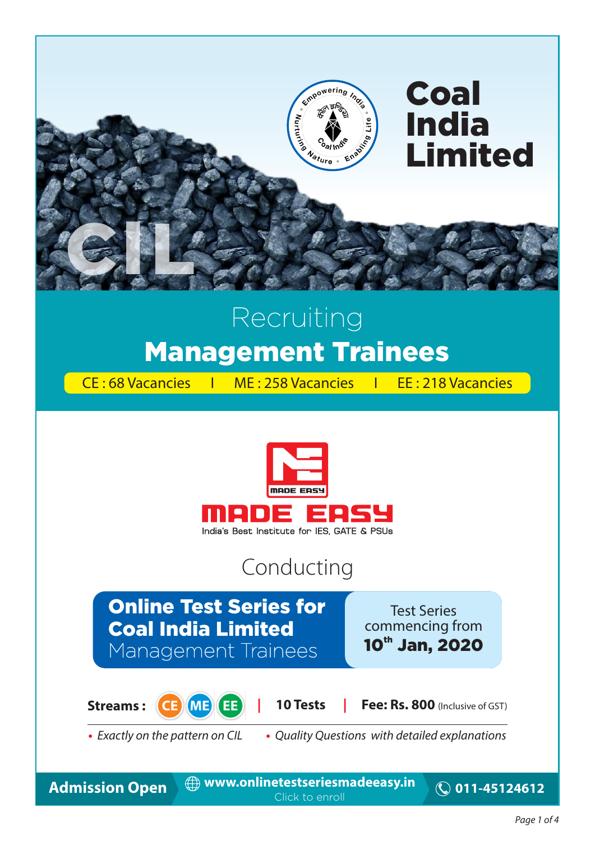

# Recruiting Management Trainees

CE : 68 Vacancies I ME : 258 Vacancies I EE : 218 Vacancies



### Conducting

### Online Test Series for Coal India Limited Management Trainees

Test Series commencing from 10<sup>th</sup> Jan, 2020



**Streams :**  $\left($  **CE ME EE** | 10 Tests | Fee: Rs. 800 (Inclusive of GST)

**•** Exactly on the pattern on CIL **•** Quality Questions with detailed explanations

Admission Open  $\oplus$  www.onlinetestseriesmadeeasy.in © 011-45124612 Click to enroll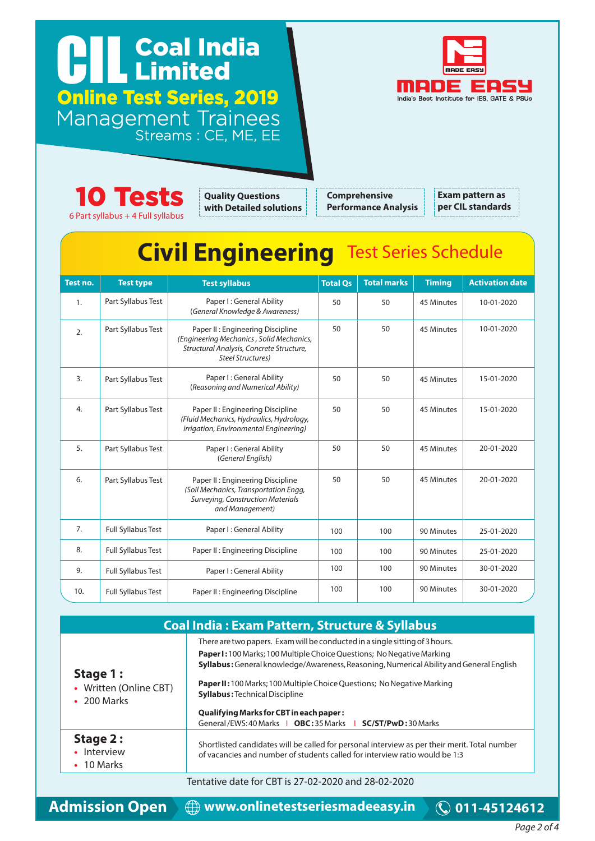### Coal India Cal Inc. Online Test Series, 2019 Management Trainees Streams : CE, ME, EE





**Quality Questions with Detailed solutions**

**Comprehensive Performance Analysis** **Exam pattern as per CIL standards**

## **Civil Engineering** Test Series Schedule

| Test no.       | <b>Test type</b>          | <b>Test syllabus</b>                                                                                                                                 | <b>Total Qs</b> | <b>Total marks</b> | <b>Timing</b> | <b>Activation date</b> |
|----------------|---------------------------|------------------------------------------------------------------------------------------------------------------------------------------------------|-----------------|--------------------|---------------|------------------------|
| $\mathbf{1}$ . | Part Syllabus Test        | Paper I: General Ability<br>(General Knowledge & Awareness)                                                                                          | 50              | 50                 | 45 Minutes    | 10-01-2020             |
| 2.             | Part Syllabus Test        | Paper II: Engineering Discipline<br>(Engineering Mechanics, Solid Mechanics,<br>Structural Analysis, Concrete Structure,<br><b>Steel Structures)</b> | 50              | 50                 | 45 Minutes    | 10-01-2020             |
| 3.             | Part Syllabus Test        | Paper I: General Ability<br>(Reasoning and Numerical Ability)                                                                                        | 50              | 50                 | 45 Minutes    | 15-01-2020             |
| 4.             | Part Syllabus Test        | Paper II: Engineering Discipline<br>(Fluid Mechanics, Hydraulics, Hydrology,<br>irrigation, Environmental Engineering)                               | 50              | 50                 | 45 Minutes    | 15-01-2020             |
| 5.             | Part Syllabus Test        | Paper I: General Ability<br>(General English)                                                                                                        | 50              | 50                 | 45 Minutes    | 20-01-2020             |
| 6.             | Part Syllabus Test        | Paper II: Engineering Discipline<br>(Soil Mechanics, Transportation Engg,<br>Surveying, Construction Materials<br>and Management)                    | 50              | 50                 | 45 Minutes    | 20-01-2020             |
| 7.             | <b>Full Syllabus Test</b> | Paper I: General Ability                                                                                                                             | 100             | 100                | 90 Minutes    | 25-01-2020             |
| 8.             | <b>Full Syllabus Test</b> | Paper II: Engineering Discipline                                                                                                                     | 100             | 100                | 90 Minutes    | 25-01-2020             |
| 9.             | <b>Full Syllabus Test</b> | Paper I: General Ability                                                                                                                             | 100             | 100                | 90 Minutes    | 30-01-2020             |
| 10.            | <b>Full Syllabus Test</b> | Paper II: Engineering Discipline                                                                                                                     | 100             | 100                | 90 Minutes    | 30-01-2020             |

| <b>Coal India: Exam Pattern, Structure &amp; Syllabus</b>                                                                                                                                                                                                                                                                                                                                                                                                                                         |                                                                                                                                                                              |  |  |
|---------------------------------------------------------------------------------------------------------------------------------------------------------------------------------------------------------------------------------------------------------------------------------------------------------------------------------------------------------------------------------------------------------------------------------------------------------------------------------------------------|------------------------------------------------------------------------------------------------------------------------------------------------------------------------------|--|--|
| There are two papers. Exam will be conducted in a single sitting of 3 hours.<br><b>Paper I:</b> 100 Marks; 100 Multiple Choice Questions; No Negative Marking<br>Syllabus: General knowledge/Awareness, Reasoning, Numerical Ability and General English<br>Stage 1 :<br><b>Paper II:</b> 100 Marks; 100 Multiple Choice Questions; No Negative Marking<br>• Written (Online CBT)<br><b>Syllabus: Technical Discipline</b><br>$\cdot$ 200 Marks<br><b>Qualifying Marks for CBT in each paper:</b> |                                                                                                                                                                              |  |  |
|                                                                                                                                                                                                                                                                                                                                                                                                                                                                                                   | General/EWS: 40 Marks   OBC: 35 Marks   SC/ST/PwD: 30 Marks                                                                                                                  |  |  |
| Stage 2:<br>Interview<br>$\cdot$ 10 Marks                                                                                                                                                                                                                                                                                                                                                                                                                                                         | Shortlisted candidates will be called for personal interview as per their merit. Total number<br>of vacancies and number of students called for interview ratio would be 1:3 |  |  |
|                                                                                                                                                                                                                                                                                                                                                                                                                                                                                                   | Tentative date for CBT is 27-02-2020 and 28-02-2020                                                                                                                          |  |  |

**Admission Open www.onlinetestseriesmadeeasy.in 011-45124612**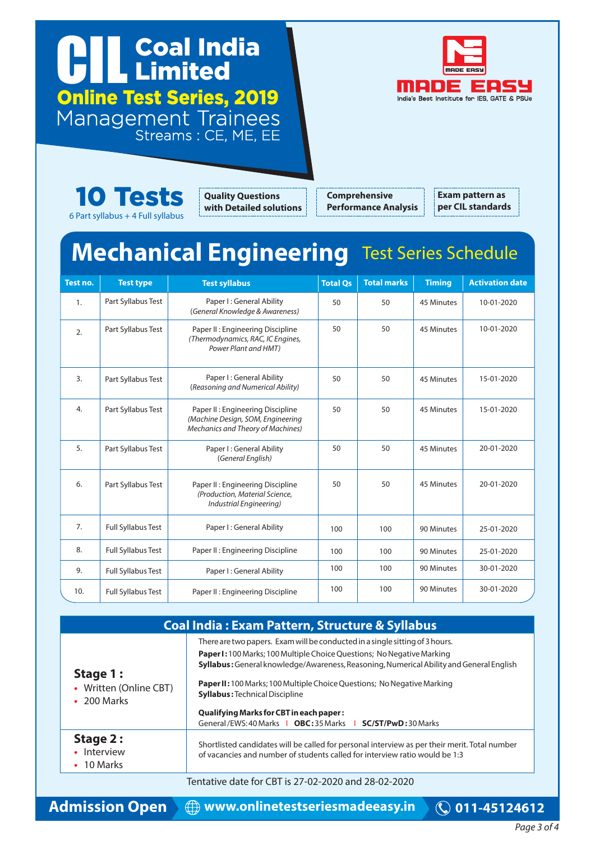### Coal India Cal Inc. Online Test Series, 2019 Management Trainees Streams : CE, ME, EE





**Quality Questions with Detailed solutions**

**Comprehensive Performance Analysis** **Exam pattern as per CIL standards**

### **Mechanical Engineering** Test Series Schedule

| Test no.       | <b>Test type</b>          | <b>Test syllabus</b>                                                                                       | <b>Total Qs</b> | <b>Total marks</b> | <b>Timing</b> | <b>Activation date</b> |
|----------------|---------------------------|------------------------------------------------------------------------------------------------------------|-----------------|--------------------|---------------|------------------------|
| $\mathbf{1}$ . | Part Syllabus Test        | Paper I: General Ability<br>(General Knowledge & Awareness)                                                | 50              | 50                 | 45 Minutes    | 10-01-2020             |
| 2.             | Part Syllabus Test        | Paper II : Engineering Discipline<br>(Thermodynamics, RAC, IC Engines,<br>Power Plant and HMT)             | 50              | 50                 | 45 Minutes    | 10-01-2020             |
| 3.             | Part Syllabus Test        | Paper I: General Ability<br>(Reasoning and Numerical Ability)                                              | 50              | 50                 | 45 Minutes    | 15-01-2020             |
| 4.             | Part Syllabus Test        | Paper II: Engineering Discipline<br>(Machine Design, SOM, Engineering<br>Mechanics and Theory of Machines) | 50              | 50                 | 45 Minutes    | 15-01-2020             |
| 5.             | Part Syllabus Test        | Paper I: General Ability<br>(General English)                                                              | 50              | 50                 | 45 Minutes    | 20-01-2020             |
| 6.             | Part Syllabus Test        | Paper II: Engineering Discipline<br>(Production, Material Science,<br>Industrial Engineering)              | 50              | 50                 | 45 Minutes    | 20-01-2020             |
| 7.             | <b>Full Syllabus Test</b> | Paper I: General Ability                                                                                   | 100             | 100                | 90 Minutes    | 25-01-2020             |
| 8.             | <b>Full Syllabus Test</b> | Paper II: Engineering Discipline                                                                           | 100             | 100                | 90 Minutes    | 25-01-2020             |
| 9.             | <b>Full Syllabus Test</b> | Paper I: General Ability                                                                                   | 100             | 100                | 90 Minutes    | 30-01-2020             |
| 10.            | Full Syllabus Test        | Paper II: Engineering Discipline                                                                           | 100             | 100                | 90 Minutes    | 30-01-2020             |

| <b>Coal India: Exam Pattern, Structure &amp; Syllabus</b> |                                                                                                                                                                                                                                                                                                                                                                              |  |  |
|-----------------------------------------------------------|------------------------------------------------------------------------------------------------------------------------------------------------------------------------------------------------------------------------------------------------------------------------------------------------------------------------------------------------------------------------------|--|--|
| Stage 1:<br>• Written (Online CBT)<br>200 Marks           | There are two papers. Exam will be conducted in a single sitting of 3 hours.<br><b>Paper I:</b> 100 Marks; 100 Multiple Choice Questions; No Negative Marking<br>Syllabus: General knowledge/Awareness, Reasoning, Numerical Ability and General English<br>Paper II: 100 Marks; 100 Multiple Choice Questions; No Negative Marking<br><b>Syllabus: Technical Discipline</b> |  |  |
|                                                           | <b>Qualifying Marks for CBT in each paper:</b><br>General/EWS:40 Marks   OBC:35 Marks   SC/ST/PwD:30 Marks                                                                                                                                                                                                                                                                   |  |  |
| Stage 2:<br>Interview<br>$\cdot$ 10 Marks                 | Shortlisted candidates will be called for personal interview as per their merit. Total number<br>of vacancies and number of students called for interview ratio would be 1:3                                                                                                                                                                                                 |  |  |
|                                                           | Tentative date for CBT is 27-02-2020 and 28-02-2020                                                                                                                                                                                                                                                                                                                          |  |  |

**Admission Open www.onlinetestseriesmadeeasy.in 011-45124612**